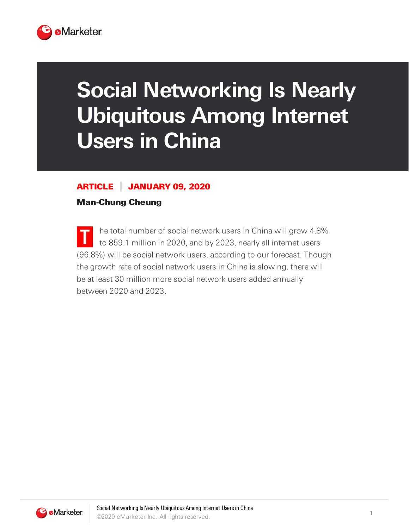

## **Social Networking Is Nearly Ubiquitous Among Internet Users in China**

## ARTICLE JANUARY 09, 2020

## Man-Chung Cheung

**T** he total number of social network users in China will grow 4.8% to 859.1 million in 2020, and by 2023, nearly all internet users (96.8%) will be social network users, according to our forecast. Though the growth rate of social network users in China is slowing, there will be at least 30 million more social network users added annually between 2020 and 2023.

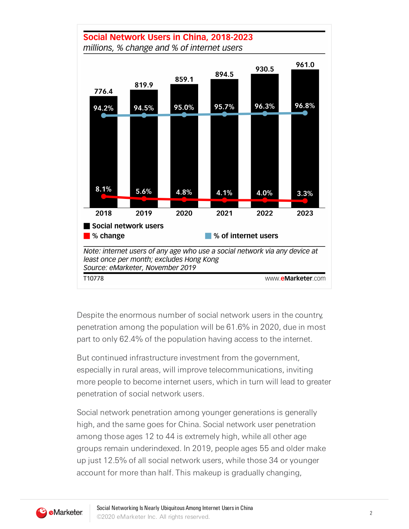

Despite the enormous number of social network users in the country, penetration among the population will be 61.6% in 2020, due in most part to only 62.4% of the population having access to the internet.

But continued infrastructure investment from the government, especially in rural areas, will improve telecommunications, inviting more people to become internet users, which in turn will lead to greater penetration of social network users.

Social network penetration among younger generations is generally high, and the same goes for China. Social network user penetration among those ages 12 to 44 is extremely high, while all other age groups remain underindexed. In 2019, people ages 55 and older make up just 12.5% of all social network users, while those 34 or younger account for more than half. This makeup is gradually changing,

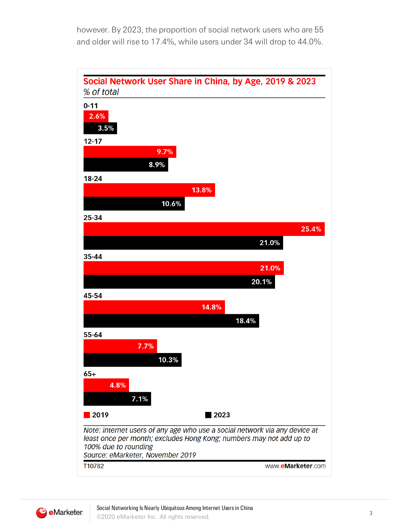however. By 2023, the proportion of social network users who are 55 and older will rise to 17.4%, while users under 34 will drop to 44.0%.